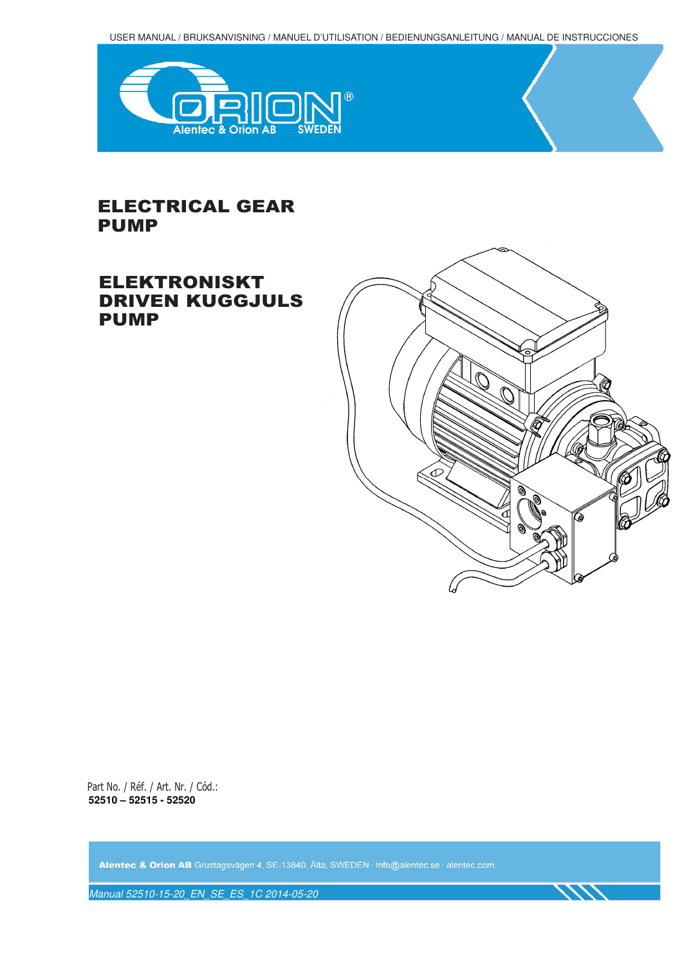USER MANUAL / BRUKSANVISNING / MANUEL D'UTILISATION / BEDIENUNGSANLEITUNG / MANUAL DE INSTRUCCIONES



# ELECTRICAL GEAR PUMP

# ELEKTRONISKT DRIVEN KUGGJULS PUMP



Part No. / Réf. / Art. Nr. / Cód.: **52510 – 52515 - 52520** 

Alentec & Orion AB Grustagsvägen 4, SE-13840, Älta, SWEDEN · Info@alentec.se · alentec.com

Manual 52510-15-20\_EN\_SE\_ES\_1C 2014-05-20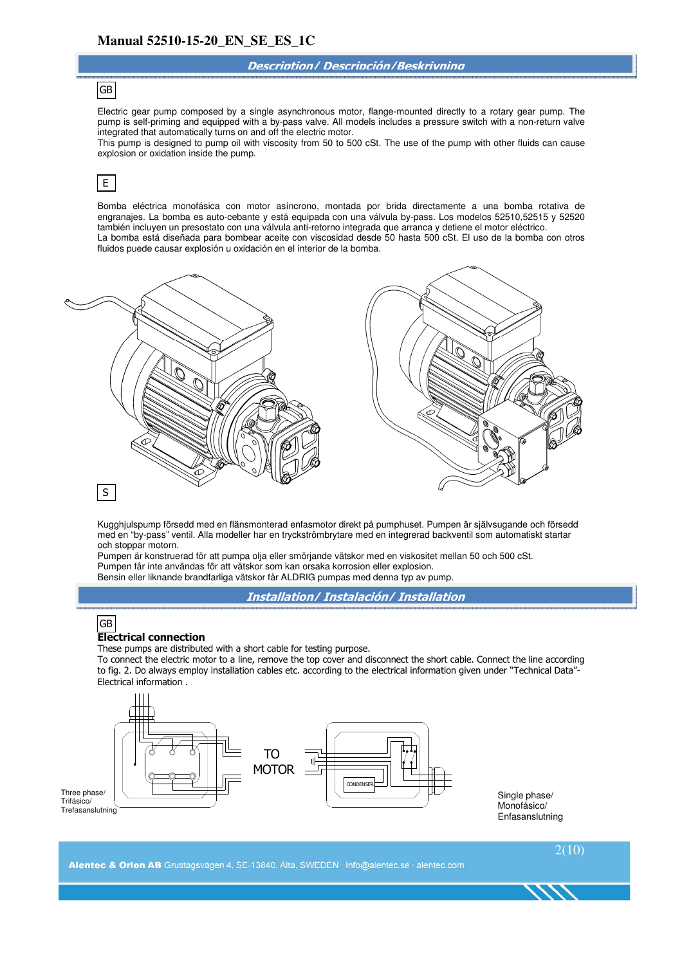#### **Description/ Descripción/Beskrivning**

### GB

Electric gear pump composed by a single asynchronous motor, flange-mounted directly to a rotary gear pump. The pump is self-priming and equipped with a by-pass valve. All models includes a pressure switch with a non-return valve integrated that automatically turns on and off the electric motor.

This pump is designed to pump oil with viscosity from 50 to 500 cSt. The use of the pump with other fluids can cause explosion or oxidation inside the pump.

#### E

Bomba eléctrica monofásica con motor asíncrono, montada por brida directamente a una bomba rotativa de engranajes. La bomba es auto-cebante y está equipada con una válvula by-pass. Los modelos 52510,52515 y 52520 también incluyen un presostato con una válvula anti-retorno integrada que arranca y detiene el motor eléctrico. La bomba está diseñada para bombear aceite con viscosidad desde 50 hasta 500 cSt. El uso de la bomba con otros fluidos puede causar explosión u oxidación en el interior de la bomba.



Kugghjulspump försedd med en flänsmonterad enfasmotor direkt på pumphuset. Pumpen är självsugande och försedd med en "by-pass" ventil. Alla modeller har en tryckströmbrytare med en integrerad backventil som automatiskt startar och stoppar motorn.

Pumpen är konstruerad för att pumpa olja eller smörjande vätskor med en viskositet mellan 50 och 500 cSt. Pumpen får inte användas för att vätskor som kan orsaka korrosion eller explosion. Bensin eller liknande brandfarliga vätskor får ALDRIG pumpas med denna typ av pump.

**Installation/ Instalación/ Installation**

#### GB

#### **Electrical connection**

These pumps are distributed with a short cable for testing purpose.

To connect the electric motor to a line, remove the top cover and disconnect the short cable. Connect the line according to fig. 2. Do always employ installation cables etc. according to the electrical information given under "Technical Data"- Electrical information .

 $2(10)$ 



Single phase/ Monofásico/ Enfasanslutning

Alentec & Orion AB Grustagsvägen 4, SE-13840, Älta, SWEDEN · Info@alentec.se · alentec.com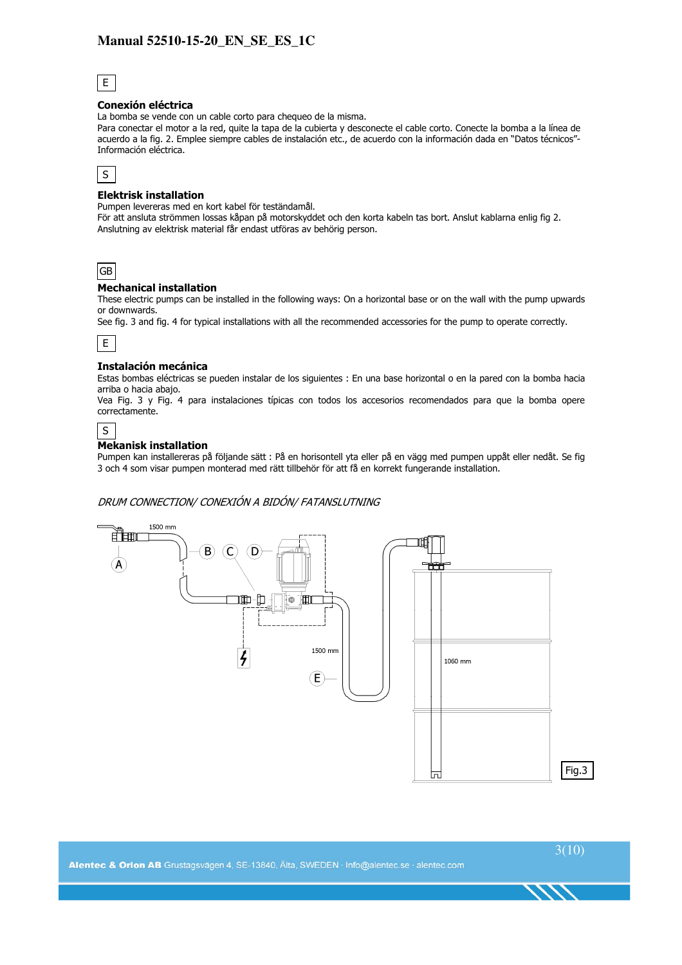

#### **Conexión eléctrica**

La bomba se vende con un cable corto para chequeo de la misma.

Para conectar el motor a la red, quite la tapa de la cubierta y desconecte el cable corto. Conecte la bomba a la línea de acuerdo a la fig. 2. Emplee siempre cables de instalación etc., de acuerdo con la información dada en "Datos técnicos"- Información eléctrica.



#### **Elektrisk installation**

Pumpen levereras med en kort kabel för teständamål.

För att ansluta strömmen lossas kåpan på motorskyddet och den korta kabeln tas bort. Anslut kablarna enlig fig 2. Anslutning av elektrisk material får endast utföras av behörig person.



#### **Mechanical installation**

These electric pumps can be installed in the following ways: On a horizontal base or on the wall with the pump upwards or downwards.

See fig. 3 and fig. 4 for typical installations with all the recommended accessories for the pump to operate correctly.



#### **Instalación mecánica**

Estas bombas eléctricas se pueden instalar de los siguientes : En una base horizontal o en la pared con la bomba hacia arriba o hacia abajo.

Vea Fig. 3 y Fig. 4 para instalaciones típicas con todos los accesorios recomendados para que la bomba opere correctamente.



#### **Mekanisk installation**

Pumpen kan installereras på följande sätt : På en horisontell yta eller på en vägg med pumpen uppåt eller nedåt. Se fig 3 och 4 som visar pumpen monterad med rätt tillbehör för att få en korrekt fungerande installation.

#### DRUM CONNECTION/ CONEXIÓN A BIDÓN/ FATANSLUTNING

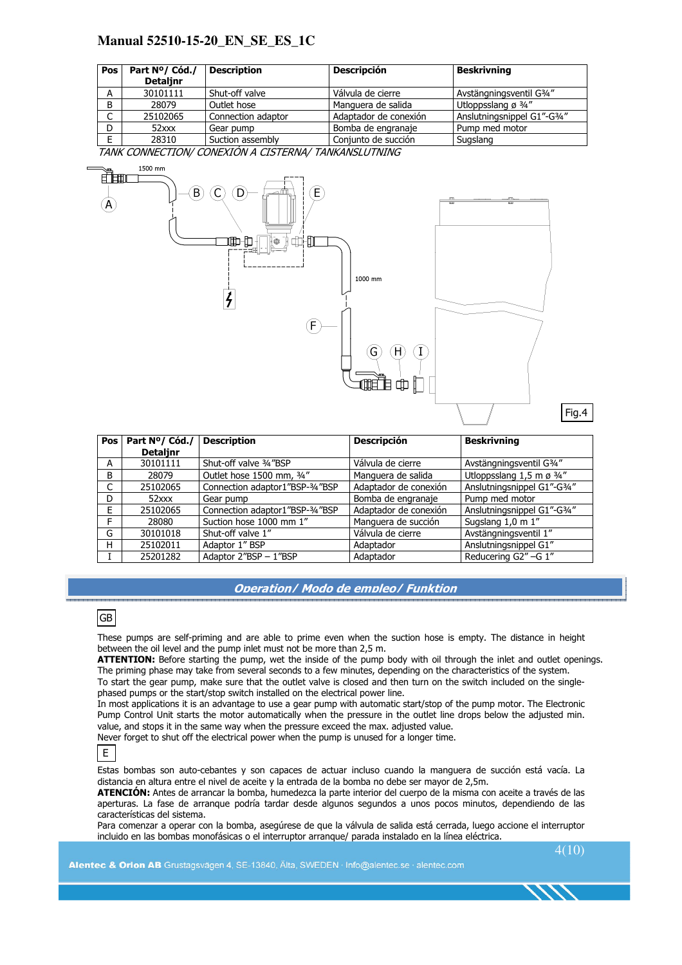| Pos                 | Part Nº/ Cód./<br><b>Detalinr</b> | <b>Description</b> | <b>Descripción</b>    | <b>Beskrivning</b>             |
|---------------------|-----------------------------------|--------------------|-----------------------|--------------------------------|
| A                   | 30101111                          | Shut-off valve     | Válvula de cierre     | Avstängningsventil G3/4"       |
| B                   | 28079                             | Outlet hose        | Manguera de salida    | Utloppsslang ø $\frac{3}{4}$ " |
| $\overline{ }$<br>◡ | 25102065                          | Connection adaptor | Adaptador de conexión | Anslutningsnippel G1"-G3/4"    |
| D                   | $52$ xxx                          | Gear pump          | Bomba de engranaje    | Pump med motor                 |
| Е                   | 28310                             | Suction assembly   | Conjunto de succión   | Sugslang                       |

TANK CONNECTION/ CONEXIÓN A CISTERNA/ TANKANSLUTNING



| Pos l | Part Nº/ Cód./  | <b>Description</b>              | <b>Descripción</b>    | <b>Beskrivning</b>                   |
|-------|-----------------|---------------------------------|-----------------------|--------------------------------------|
|       | <b>Detalinr</b> |                                 |                       |                                      |
| А     | 30101111        | Shut-off valve 3/4"BSP          | Válvula de cierre     | Avstängningsventil G3/4"             |
| B     | 28079           | Outlet hose 1500 mm, 3/4"       | Manguera de salida    | Utloppsslang 1,5 m ø $\frac{3}{4}$ " |
| C     | 25102065        | Connection adaptor1"BSP-3/4"BSP | Adaptador de conexión | Anslutningsnippel G1"-G3/4"          |
| D     | $52$ xxx        | Gear pump                       | Bomba de engranaje    | Pump med motor                       |
| F.    | 25102065        | Connection adaptor1"BSP-3/4"BSP | Adaptador de conexión | Anslutningsnippel G1"-G3/4"          |
| F     | 28080           | Suction hose 1000 mm 1"         | Manguera de succión   | Sugslang 1,0 m 1"                    |
| G     | 30101018        | Shut-off valve 1"               | Válvula de cierre     | Avstängningsventil 1"                |
| H     | 25102011        | Adaptor 1" BSP                  | Adaptador             | Anslutningsnippel G1"                |
|       | 25201282        | Adaptor 2"BSP - 1"BSP           | Adaptador             | Reducering G2" -G 1"                 |

#### **Operation/ Modo de empleo/ Funktion**

### GB

These pumps are self-priming and are able to prime even when the suction hose is empty. The distance in height between the oil level and the pump inlet must not be more than 2,5 m.

**ATTENTION:** Before starting the pump, wet the inside of the pump body with oil through the inlet and outlet openings. The priming phase may take from several seconds to a few minutes, depending on the characteristics of the system. To start the gear pump, make sure that the outlet valve is closed and then turn on the switch included on the singlephased pumps or the start/stop switch installed on the electrical power line.

In most applications it is an advantage to use a gear pump with automatic start/stop of the pump motor. The Electronic Pump Control Unit starts the motor automatically when the pressure in the outlet line drops below the adjusted min. value, and stops it in the same way when the pressure exceed the max. adjusted value.

Never forget to shut off the electrical power when the pump is unused for a longer time.



Estas bombas son auto-cebantes y son capaces de actuar incluso cuando la manguera de succión está vacía. La distancia en altura entre el nivel de aceite y la entrada de la bomba no debe ser mayor de 2,5m.

**ATENCIÓN:** Antes de arrancar la bomba, humedezca la parte interior del cuerpo de la misma con aceite a través de las aperturas. La fase de arranque podría tardar desde algunos segundos a unos pocos minutos, dependiendo de las características del sistema.

Para comenzar a operar con la bomba, asegúrese de que la válvula de salida está cerrada, luego accione el interruptor incluido en las bombas monofásicas o el interruptor arranque/ parada instalado en la línea eléctrica.

 $4(10)$ 

Alentec & Orion AB Grustagsvägen 4, SE-13840, Älta, SWEDEN · Info@alentec.se · alentec.com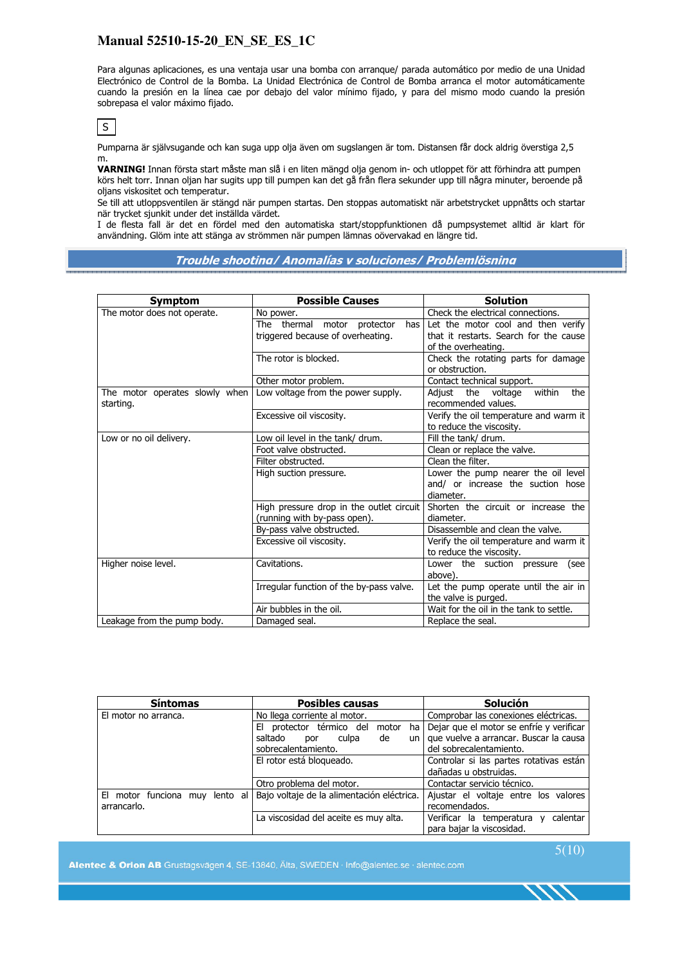Para algunas aplicaciones, es una ventaja usar una bomba con arranque/ parada automático por medio de una Unidad Electrónico de Control de la Bomba. La Unidad Electrónica de Control de Bomba arranca el motor automáticamente cuando la presión en la línea cae por debajo del valor mínimo fijado, y para del mismo modo cuando la presión sobrepasa el valor máximo fijado.

S

Pumparna är självsugande och kan suga upp olja även om sugslangen är tom. Distansen får dock aldrig överstiga 2,5 m.

**VARNING!** Innan första start måste man slå i en liten mängd olja genom in- och utloppet för att förhindra att pumpen körs helt torr. Innan oljan har sugits upp till pumpen kan det gå från flera sekunder upp till några minuter, beroende på oljans viskositet och temperatur.

Se till att utloppsventilen är stängd när pumpen startas. Den stoppas automatiskt när arbetstrycket uppnåtts och startar när trycket sjunkit under det inställda värdet.

I de flesta fall är det en fördel med den automatiska start/stoppfunktionen då pumpsystemet alltid är klart för användning. Glöm inte att stänga av strömmen när pumpen lämnas oövervakad en längre tid.

#### **Trouble shooting/ Anomalías y soluciones/ Problemlösning**

| <b>Symptom</b>                              | <b>Possible Causes</b>                   | <b>Solution</b>                                                  |
|---------------------------------------------|------------------------------------------|------------------------------------------------------------------|
| The motor does not operate.                 | No power.                                | Check the electrical connections.                                |
|                                             | The thermal motor protector<br>has       | Let the motor cool and then verify                               |
|                                             | triggered because of overheating.        | that it restarts. Search for the cause                           |
|                                             |                                          | of the overheating.                                              |
|                                             | The rotor is blocked.                    | Check the rotating parts for damage                              |
|                                             |                                          | or obstruction.                                                  |
|                                             | Other motor problem.                     | Contact technical support.                                       |
| The motor operates slowly when<br>starting. | Low voltage from the power supply.       | the<br>Adjust<br>the<br>voltage<br>within<br>recommended values. |
|                                             | Excessive oil viscosity.                 | Verify the oil temperature and warm it                           |
|                                             |                                          | to reduce the viscosity.                                         |
| Low or no oil delivery.                     | Low oil level in the tank/ drum.         | Fill the tank/ drum.                                             |
|                                             | Foot valve obstructed.                   | Clean or replace the valve.                                      |
|                                             | Filter obstructed.                       | Clean the filter.                                                |
|                                             | High suction pressure.                   | Lower the pump nearer the oil level                              |
|                                             |                                          | and/ or increase the suction hose                                |
|                                             |                                          | diameter.                                                        |
|                                             | High pressure drop in the outlet circuit | Shorten the circuit or increase the                              |
|                                             | (running with by-pass open).             | diameter.                                                        |
|                                             | By-pass valve obstructed.                | Disassemble and clean the valve.                                 |
|                                             | Excessive oil viscosity.                 | Verify the oil temperature and warm it                           |
|                                             |                                          | to reduce the viscosity.                                         |
| Higher noise level.                         | Cavitations.                             | Lower the suction pressure<br>(see                               |
|                                             |                                          | above).                                                          |
|                                             | Irregular function of the by-pass valve. | Let the pump operate until the air in                            |
|                                             |                                          | the valve is purged.                                             |
|                                             | Air bubbles in the oil.                  | Wait for the oil in the tank to settle.                          |
| Leakage from the pump body.                 | Damaged seal.                            | Replace the seal.                                                |

| <b>Síntomas</b>                | <b>Posibles causas</b>                         | <b>Solución</b>                          |  |
|--------------------------------|------------------------------------------------|------------------------------------------|--|
| El motor no arranca.           | No llega corriente al motor.                   | Comprobar las conexiones eléctricas.     |  |
|                                | protector térmico del<br>motor<br>EI.<br>ha    | Dejar que el motor se enfríe y verificar |  |
|                                | saltado<br>de<br>culpa<br>un.<br>por           | que vuelve a arrancar. Buscar la causa   |  |
|                                | sobrecalentamiento.<br>del sobrecalentamiento. |                                          |  |
|                                | El rotor está bloqueado.                       | Controlar si las partes rotativas están  |  |
|                                |                                                | dañadas u obstruidas.                    |  |
|                                | Otro problema del motor.                       | Contactar servicio técnico.              |  |
| El motor funciona muy lento al | Bajo voltaje de la alimentación eléctrica.     | Ajustar el voltaje entre los valores     |  |
| arrancarlo.                    |                                                | recomendados.                            |  |
|                                | La viscosidad del aceite es muy alta.          | Verificar la temperatura y<br>calentar   |  |
|                                |                                                | para bajar la viscosidad.                |  |

Alentec & Orion AB Grustagsvägen 4, SE-13840, Älta, SWEDEN · Info@alentec.se · alentec.com

 $5(10)$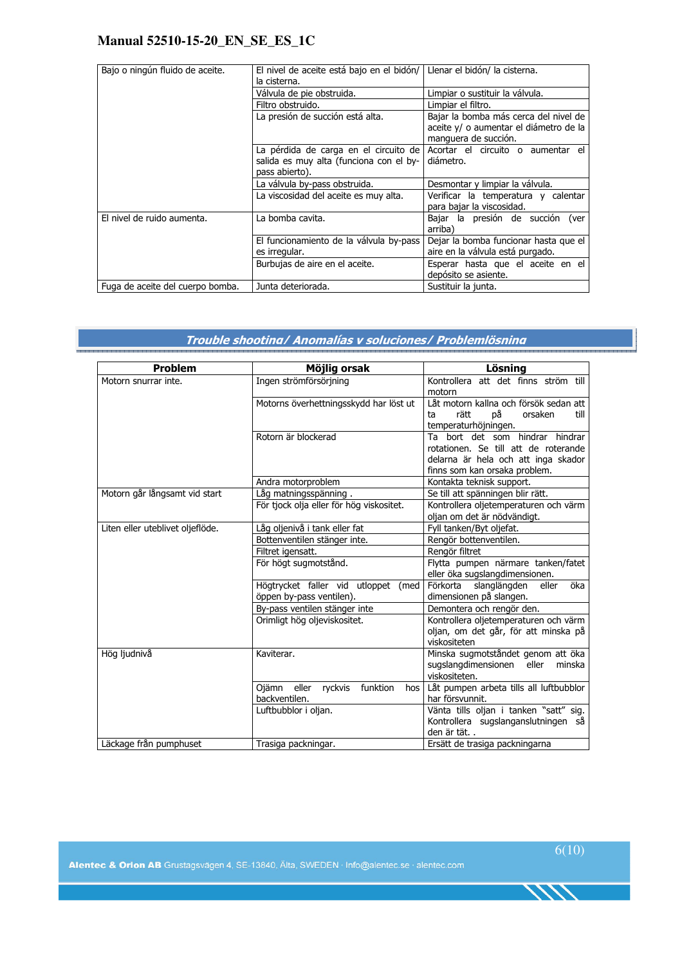| Bajo o ningún fluido de aceite.  | El nivel de aceite está bajo en el bidón/<br>la cisterna.                                          | Llenar el bidón/ la cisterna.                                                                           |  |
|----------------------------------|----------------------------------------------------------------------------------------------------|---------------------------------------------------------------------------------------------------------|--|
|                                  | Válvula de pie obstruida.                                                                          | Limpiar o sustituir la válvula.                                                                         |  |
|                                  | Filtro obstruido.                                                                                  | Limpiar el filtro.                                                                                      |  |
|                                  | La presión de succión está alta.                                                                   | Bajar la bomba más cerca del nivel de<br>aceite y/ o aumentar el diámetro de la<br>manguera de succión. |  |
|                                  | La pérdida de carga en el circuito de<br>salida es muy alta (funciona con el by-<br>pass abierto). | Acortar el circuito o aumentar el<br>diámetro.                                                          |  |
|                                  | La válvula by-pass obstruida.                                                                      | Desmontar y limpiar la válvula.                                                                         |  |
|                                  | La viscosidad del aceite es muy alta.                                                              | Verificar la temperatura y calentar<br>para bajar la viscosidad.                                        |  |
| El nivel de ruido aumenta.       | La bomba cavita.                                                                                   | Bajar la presión de succión (ver<br>arriba)                                                             |  |
|                                  | El funcionamiento de la válvula by-pass<br>es irregular.                                           | Dejar la bomba funcionar hasta que el<br>aire en la válvula está purgado.                               |  |
|                                  | Burbujas de aire en el aceite.                                                                     | Esperar hasta que el aceite en el<br>depósito se asiente.                                               |  |
| Fuga de aceite del cuerpo bomba. | Junta deteriorada.                                                                                 | Sustituir la junta.                                                                                     |  |

### **Trouble shooting/ Anomalías y soluciones/ Problemlösning**

| <b>Problem</b>                   | Möjlig orsak                                                    | Lösning                                                                                                                                         |  |
|----------------------------------|-----------------------------------------------------------------|-------------------------------------------------------------------------------------------------------------------------------------------------|--|
| Motorn snurrar inte.             | Ingen strömförsörjning                                          | Kontrollera att det finns ström till<br>motorn                                                                                                  |  |
|                                  | Motorns överhettningsskydd har löst ut                          | Låt motorn kallna och försök sedan att<br>рå<br>rätt<br>orsaken<br>ta<br>till<br>temperaturhöjningen.                                           |  |
|                                  | Rotorn är blockerad                                             | Ta bort det som hindrar hindrar<br>rotationen. Se till att de roterande<br>delarna är hela och att inga skador<br>finns som kan orsaka problem. |  |
|                                  | Andra motorproblem                                              | Kontakta teknisk support.                                                                                                                       |  |
| Motorn går långsamt vid start    | Låg matningsspänning.                                           | Se till att spänningen blir rätt.                                                                                                               |  |
|                                  | För tjock olja eller för hög viskositet.                        | Kontrollera oljetemperaturen och värm<br>oljan om det är nödvändigt.                                                                            |  |
| Liten eller uteblivet oljeflöde. | Låg oljenivå i tank eller fat                                   | Fyll tanken/Byt oljefat.                                                                                                                        |  |
|                                  | Bottenventilen stänger inte.                                    | Rengör bottenventilen.                                                                                                                          |  |
|                                  | Filtret igensatt.                                               | Rengör filtret                                                                                                                                  |  |
|                                  | För högt sugmotstånd.                                           | Flytta pumpen närmare tanken/fatet<br>eller öka sugslangdimensionen.                                                                            |  |
|                                  | Högtrycket faller vid utloppet (med<br>öppen by-pass ventilen). | Förkorta slanglängden<br>öka<br>eller<br>dimensionen på slangen.                                                                                |  |
|                                  | By-pass ventilen stänger inte                                   | Demontera och rengör den.                                                                                                                       |  |
|                                  | Orimligt hög oljeviskositet.                                    | Kontrollera oljetemperaturen och värm<br>oljan, om det går, för att minska på<br>viskositeten                                                   |  |
| Hög ljudnivå                     | Kaviterar.                                                      | Minska sugmotståndet genom att öka<br>sugslangdimensionen eller<br>minska<br>viskositeten.                                                      |  |
|                                  | eller<br>ryckvis funktion<br>Ojämn<br>hos<br>backventilen.      | Låt pumpen arbeta tills all luftbubblor<br>har försvunnit.                                                                                      |  |
|                                  | Luftbubblor i oljan.                                            | Vänta tills oljan i tanken "satt" sig.<br>Kontrollera sugslanganslutningen så<br>den är tät                                                     |  |
| Läckage från pumphuset           | Trasiga packningar.                                             | Ersätt de trasiga packningarna                                                                                                                  |  |

1111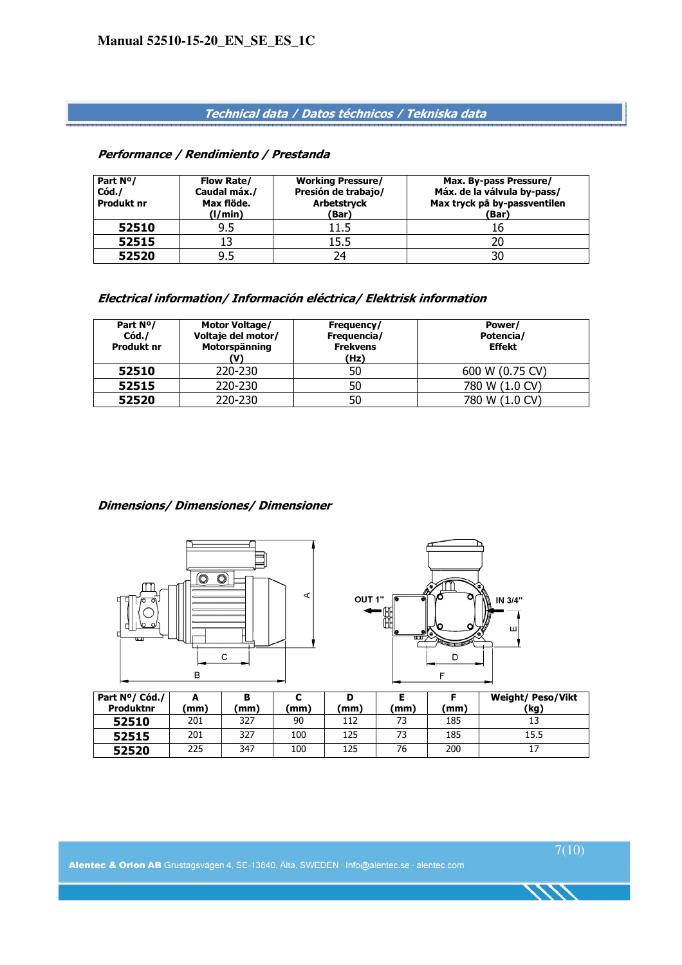### **Technical data / Datos téchnicos / Tekniska data**

#### **Performance / Rendimiento / Prestanda**

| Part N <sup>o</sup> /<br>Cód.<br>Produkt nr | <b>Flow Rate/</b><br>Caudal máx./<br>Max flöde.<br>(1/min) | <b>Working Pressure/</b><br>Presión de trabajo/<br><b>Arbetstryck</b><br>(Bar) | Max. By-pass Pressure/<br>Máx. de la válvula by-pass/<br>Max tryck på by-passventilen<br>(Bar) |
|---------------------------------------------|------------------------------------------------------------|--------------------------------------------------------------------------------|------------------------------------------------------------------------------------------------|
| 52510                                       | 9.5                                                        | 11.5                                                                           |                                                                                                |
| 52515                                       | 13                                                         | 15.5                                                                           |                                                                                                |
| 52520                                       | 9.5                                                        | 74                                                                             |                                                                                                |

### **Electrical information/ Información eléctrica/ Elektrisk information**

| Part N <sup>o</sup> /<br>Cód./<br>Produkt nr | <b>Motor Voltage/</b><br>Voltaje del motor/<br>Motorspänning | Frequency/<br>Frequencia/<br><b>Frekvens</b><br>(Hz) | Power/<br>Potencia/<br><b>Effekt</b> |
|----------------------------------------------|--------------------------------------------------------------|------------------------------------------------------|--------------------------------------|
| 52510                                        | 220-230                                                      | 50                                                   | 600 W (0.75 CV)                      |
| 52515                                        | 220-230                                                      | 50                                                   | 780 W (1.0 CV)                       |
| 52520                                        | 220-230                                                      | 50                                                   | 780 W (1.0 CV)                       |

### **Dimensions/ Dimensiones/ Dimensioner**





| Part Nº/ Cód./<br>Produktnr | (mm) | (mm) | (mm | D<br>mm) | (mm) | (mm) | <b>Weight/ Peso/Vikt</b><br>(kg) |
|-----------------------------|------|------|-----|----------|------|------|----------------------------------|
| 52510                       | 201  | 327  | 90  | 112      | 73   | 185  | 13                               |
| 52515                       | 201  | 327  | 100 | 125      | 73   | 185  | 15.5                             |
| 52520                       | 225  | 347  | 100 | 125      | 76   | 200  |                                  |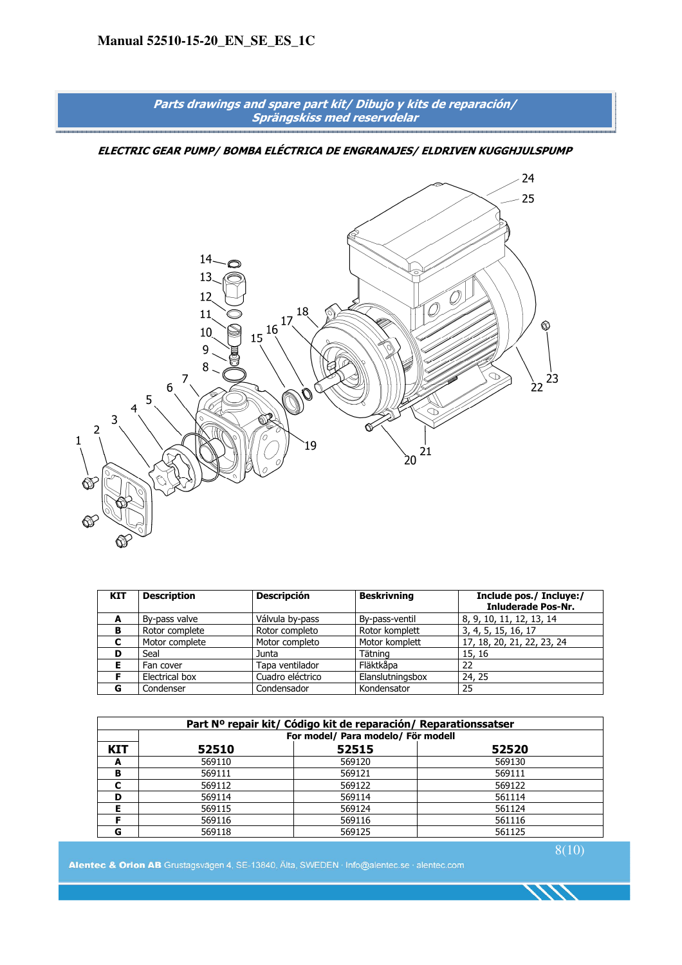

| KIT | <b>Description</b> | <b>Descripción</b> | <b>Beskrivning</b> | Include pos./ Incluye:/<br><b>Inluderade Pos-Nr.</b> |
|-----|--------------------|--------------------|--------------------|------------------------------------------------------|
| A   | By-pass valve      | Válvula by-pass    | By-pass-ventil     | 8, 9, 10, 11, 12, 13, 14                             |
| в   | Rotor complete     | Rotor completo     | Rotor komplett     | 3, 4, 5, 15, 16, 17                                  |
| C   | Motor complete     | Motor completo     | Motor komplett     | 17, 18, 20, 21, 22, 23, 24                           |
| D   | Seal               | Junta              | Tätning            | 15, 16                                               |
| Е   | Fan cover          | Tapa ventilador    | Fläktkåpa          | 22                                                   |
|     | Electrical box     | Cuadro eléctrico   | Elanslutningsbox   | 24, 25                                               |
| G   | Condenser          | Condensador        | Kondensator        | 25                                                   |

|            |                         | Part Nº repair kit/ Código kit de reparación/ Reparationssatser |        |  |  |  |
|------------|-------------------------|-----------------------------------------------------------------|--------|--|--|--|
|            |                         | For model/ Para modelo/ För modell                              |        |  |  |  |
| <b>KIT</b> | 52515<br>52510<br>52520 |                                                                 |        |  |  |  |
| A          | 569110                  | 569120                                                          | 569130 |  |  |  |
| в          | 569111                  | 569121                                                          | 569111 |  |  |  |
|            | 569112                  | 569122                                                          | 569122 |  |  |  |
| D          | 569114                  | 569114                                                          | 561114 |  |  |  |
| F          | 569115                  | 569124                                                          | 561124 |  |  |  |
| Е          | 569116                  | 569116                                                          | 561116 |  |  |  |
| G          | 569118                  | 569125                                                          | 561125 |  |  |  |

Alentec & Orion AB Grustagsvägen 4, SE-13840, Älta, SWEDEN · Info@alentec.se · alentec.com

 $8(10)$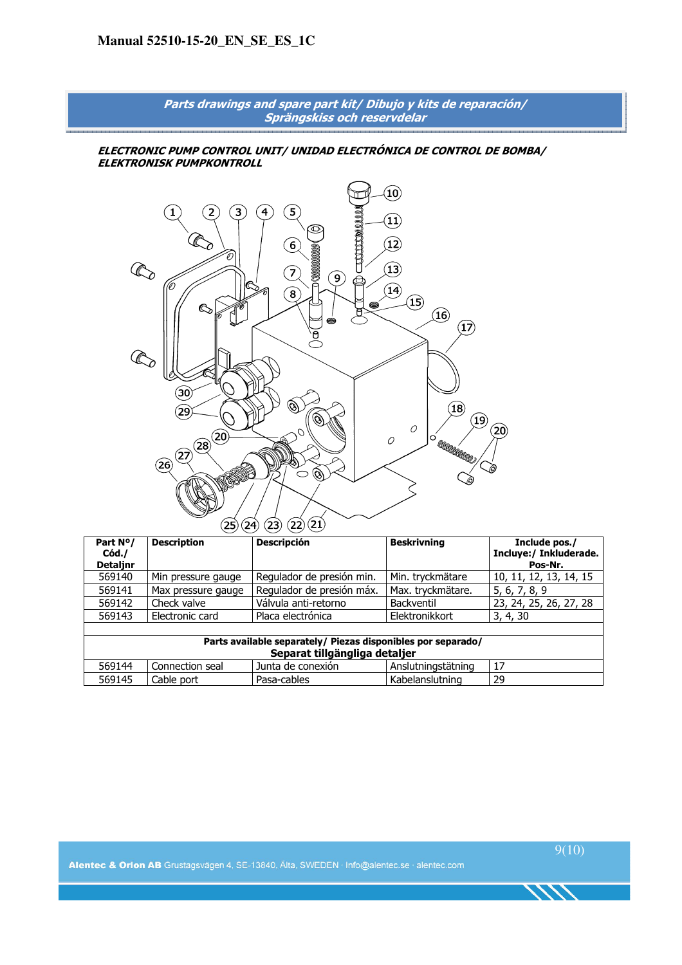

| Part N <sup>o</sup> /<br>Cód. | <b>Description</b> | <b>Descripción</b>                                           | <b>Beskrivning</b> | Include pos./<br>Incluye:/ Inkluderade. |  |
|-------------------------------|--------------------|--------------------------------------------------------------|--------------------|-----------------------------------------|--|
| <b>Detalinr</b>               |                    |                                                              |                    | Pos-Nr.                                 |  |
| 569140                        | Min pressure gauge | Regulador de presión min.                                    | Min. tryckmätare   | 10, 11, 12, 13, 14, 15                  |  |
| 569141                        | Max pressure gauge | Regulador de presión máx.                                    | Max. tryckmätare.  | 5, 6, 7, 8, 9                           |  |
| 569142                        | Check valve        | Válvula anti-retorno                                         | <b>Backventil</b>  | 23, 24, 25, 26, 27, 28                  |  |
| 569143                        | Electronic card    | Placa electrónica                                            | Elektronikkort     | 3, 4, 30                                |  |
|                               |                    |                                                              |                    |                                         |  |
|                               |                    | Parts available separately/ Piezas disponibles por separado/ |                    |                                         |  |
| Separat tillgängliga detaljer |                    |                                                              |                    |                                         |  |
| 569144                        | Connection seal    | Junta de conexión                                            | Anslutningstätning | 17                                      |  |
| 569145                        | Cable port         | Pasa-cables                                                  | Kabelanslutning    | 29                                      |  |

Alentec & Orion AB Grustagsvägen 4, SE-13840, Älta, SWEDEN · Info@alentec.se · alentec.com